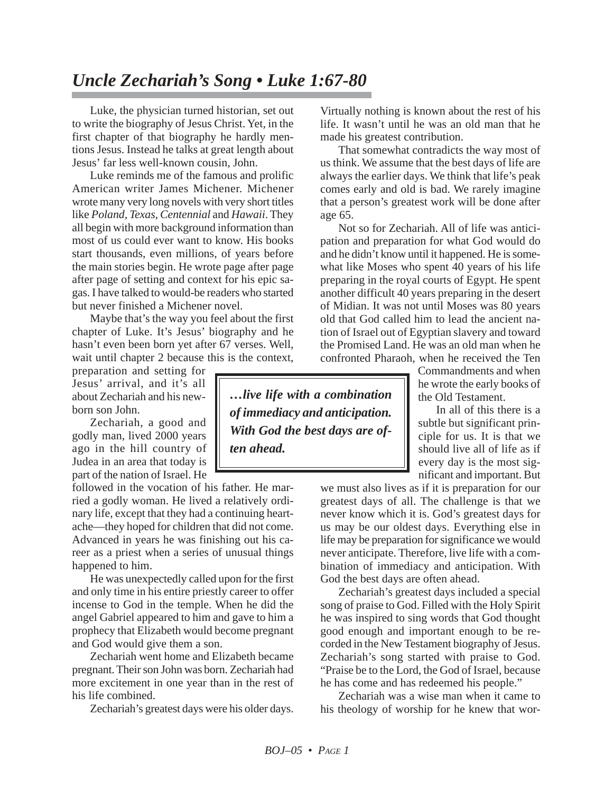## *Uncle Zechariah's Song • Luke 1:67-80*

Luke, the physician turned historian, set out to write the biography of Jesus Christ. Yet, in the first chapter of that biography he hardly mentions Jesus. Instead he talks at great length about Jesus' far less well-known cousin, John.

Luke reminds me of the famous and prolific American writer James Michener. Michener wrote many very long novels with very short titles like *Poland, Texas, Centennial* and *Hawaii*. They all begin with more background information than most of us could ever want to know. His books start thousands, even millions, of years before the main stories begin. He wrote page after page after page of setting and context for his epic sagas. I have talked to would-be readers who started but never finished a Michener novel.

Maybe that's the way you feel about the first chapter of Luke. It's Jesus' biography and he hasn't even been born yet after 67 verses. Well, wait until chapter 2 because this is the context,

preparation and setting for Jesus' arrival, and it's all about Zechariah and his newborn son John.

Zechariah, a good and godly man, lived 2000 years ago in the hill country of Judea in an area that today is part of the nation of Israel. He

followed in the vocation of his father. He married a godly woman. He lived a relatively ordinary life, except that they had a continuing heartache—they hoped for children that did not come. Advanced in years he was finishing out his career as a priest when a series of unusual things happened to him.

He was unexpectedly called upon for the first and only time in his entire priestly career to offer incense to God in the temple. When he did the angel Gabriel appeared to him and gave to him a prophecy that Elizabeth would become pregnant and God would give them a son.

Zechariah went home and Elizabeth became pregnant. Their son John was born. Zechariah had more excitement in one year than in the rest of his life combined.

Zechariah's greatest days were his older days.

Virtually nothing is known about the rest of his life. It wasn't until he was an old man that he made his greatest contribution.

That somewhat contradicts the way most of us think. We assume that the best days of life are always the earlier days. We think that life's peak comes early and old is bad. We rarely imagine that a person's greatest work will be done after age 65.

Not so for Zechariah. All of life was anticipation and preparation for what God would do and he didn't know until it happened. He is somewhat like Moses who spent 40 years of his life preparing in the royal courts of Egypt. He spent another difficult 40 years preparing in the desert of Midian. It was not until Moses was 80 years old that God called him to lead the ancient nation of Israel out of Egyptian slavery and toward the Promised Land. He was an old man when he confronted Pharaoh, when he received the Ten

Commandments and when he wrote the early books of the Old Testament.

In all of this there is a subtle but significant principle for us. It is that we should live all of life as if every day is the most significant and important. But

we must also lives as if it is preparation for our greatest days of all. The challenge is that we never know which it is. God's greatest days for us may be our oldest days. Everything else in life may be preparation for significance we would never anticipate. Therefore, live life with a combination of immediacy and anticipation. With God the best days are often ahead.

Zechariah's greatest days included a special song of praise to God. Filled with the Holy Spirit he was inspired to sing words that God thought good enough and important enough to be recorded in the New Testament biography of Jesus. Zechariah's song started with praise to God. "Praise be to the Lord, the God of Israel, because he has come and has redeemed his people."

Zechariah was a wise man when it came to his theology of worship for he knew that wor-

*…live life with a combination of immediacy and anticipation. With God the best days are often ahead.*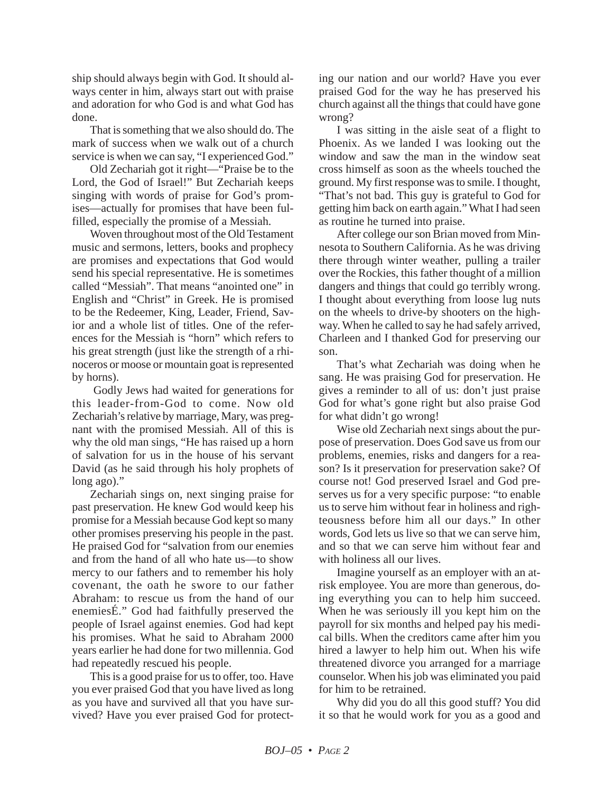ship should always begin with God. It should always center in him, always start out with praise and adoration for who God is and what God has done.

That is something that we also should do. The mark of success when we walk out of a church service is when we can say, "I experienced God."

Old Zechariah got it right—"Praise be to the Lord, the God of Israel!" But Zechariah keeps singing with words of praise for God's promises—actually for promises that have been fulfilled, especially the promise of a Messiah.

Woven throughout most of the Old Testament music and sermons, letters, books and prophecy are promises and expectations that God would send his special representative. He is sometimes called "Messiah". That means "anointed one" in English and "Christ" in Greek. He is promised to be the Redeemer, King, Leader, Friend, Savior and a whole list of titles. One of the references for the Messiah is "horn" which refers to his great strength (just like the strength of a rhinoceros or moose or mountain goat is represented by horns).

Godly Jews had waited for generations for this leader-from-God to come. Now old Zechariah's relative by marriage, Mary, was pregnant with the promised Messiah. All of this is why the old man sings, "He has raised up a horn of salvation for us in the house of his servant David (as he said through his holy prophets of long ago)."

Zechariah sings on, next singing praise for past preservation. He knew God would keep his promise for a Messiah because God kept so many other promises preserving his people in the past. He praised God for "salvation from our enemies and from the hand of all who hate us—to show mercy to our fathers and to remember his holy covenant, the oath he swore to our father Abraham: to rescue us from the hand of our enemiesÉ." God had faithfully preserved the people of Israel against enemies. God had kept his promises. What he said to Abraham 2000 years earlier he had done for two millennia. God had repeatedly rescued his people.

This is a good praise for us to offer, too. Have you ever praised God that you have lived as long as you have and survived all that you have survived? Have you ever praised God for protecting our nation and our world? Have you ever praised God for the way he has preserved his church against all the things that could have gone wrong?

I was sitting in the aisle seat of a flight to Phoenix. As we landed I was looking out the window and saw the man in the window seat cross himself as soon as the wheels touched the ground. My first response was to smile. I thought, "That's not bad. This guy is grateful to God for getting him back on earth again." What I had seen as routine he turned into praise.

After college our son Brian moved from Minnesota to Southern California. As he was driving there through winter weather, pulling a trailer over the Rockies, this father thought of a million dangers and things that could go terribly wrong. I thought about everything from loose lug nuts on the wheels to drive-by shooters on the highway. When he called to say he had safely arrived, Charleen and I thanked God for preserving our son.

That's what Zechariah was doing when he sang. He was praising God for preservation. He gives a reminder to all of us: don't just praise God for what's gone right but also praise God for what didn't go wrong!

Wise old Zechariah next sings about the purpose of preservation. Does God save us from our problems, enemies, risks and dangers for a reason? Is it preservation for preservation sake? Of course not! God preserved Israel and God preserves us for a very specific purpose: "to enable us to serve him without fear in holiness and righteousness before him all our days." In other words, God lets us live so that we can serve him, and so that we can serve him without fear and with holiness all our lives.

Imagine yourself as an employer with an atrisk employee. You are more than generous, doing everything you can to help him succeed. When he was seriously ill you kept him on the payroll for six months and helped pay his medical bills. When the creditors came after him you hired a lawyer to help him out. When his wife threatened divorce you arranged for a marriage counselor. When his job was eliminated you paid for him to be retrained.

Why did you do all this good stuff? You did it so that he would work for you as a good and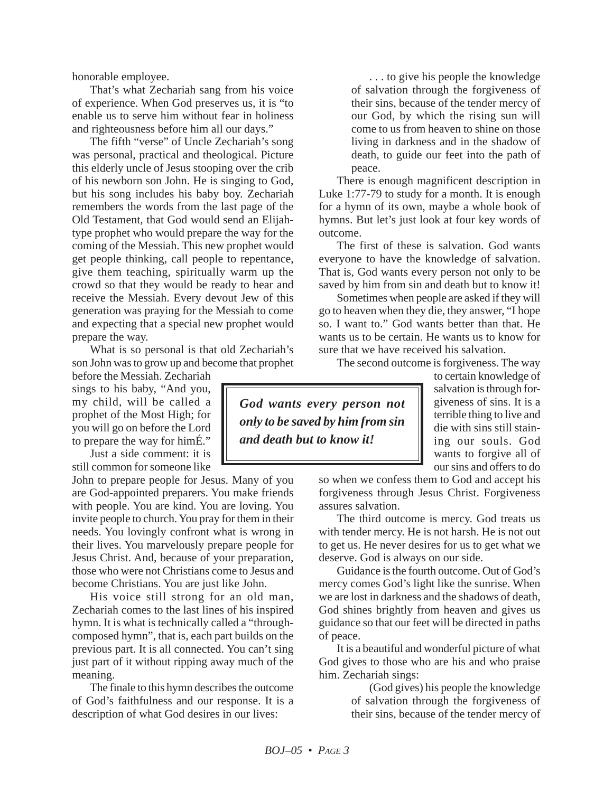honorable employee.

That's what Zechariah sang from his voice of experience. When God preserves us, it is "to enable us to serve him without fear in holiness and righteousness before him all our days."

The fifth "verse" of Uncle Zechariah's song was personal, practical and theological. Picture this elderly uncle of Jesus stooping over the crib of his newborn son John. He is singing to God, but his song includes his baby boy. Zechariah remembers the words from the last page of the Old Testament, that God would send an Elijahtype prophet who would prepare the way for the coming of the Messiah. This new prophet would get people thinking, call people to repentance, give them teaching, spiritually warm up the crowd so that they would be ready to hear and receive the Messiah. Every devout Jew of this generation was praying for the Messiah to come and expecting that a special new prophet would prepare the way.

What is so personal is that old Zechariah's son John was to grow up and become that prophet

before the Messiah. Zechariah sings to his baby, "And you, my child, will be called a prophet of the Most High; for you will go on before the Lord to prepare the way for himÉ."

Just a side comment: it is still common for someone like

John to prepare people for Jesus. Many of you are God-appointed preparers. You make friends with people. You are kind. You are loving. You invite people to church. You pray for them in their needs. You lovingly confront what is wrong in their lives. You marvelously prepare people for Jesus Christ. And, because of your preparation, those who were not Christians come to Jesus and become Christians. You are just like John.

His voice still strong for an old man, Zechariah comes to the last lines of his inspired hymn. It is what is technically called a "throughcomposed hymn", that is, each part builds on the previous part. It is all connected. You can't sing just part of it without ripping away much of the meaning.

The finale to this hymn describes the outcome of God's faithfulness and our response. It is a description of what God desires in our lives:

. . . to give his people the knowledge of salvation through the forgiveness of their sins, because of the tender mercy of our God, by which the rising sun will come to us from heaven to shine on those living in darkness and in the shadow of death, to guide our feet into the path of peace.

There is enough magnificent description in Luke 1:77-79 to study for a month. It is enough for a hymn of its own, maybe a whole book of hymns. But let's just look at four key words of outcome.

The first of these is salvation. God wants everyone to have the knowledge of salvation. That is, God wants every person not only to be saved by him from sin and death but to know it!

Sometimes when people are asked if they will go to heaven when they die, they answer, "I hope so. I want to." God wants better than that. He wants us to be certain. He wants us to know for sure that we have received his salvation.

The second outcome is forgiveness. The way

*God wants every person not only to be saved by him from sin and death but to know it!*

to certain knowledge of salvation is through forgiveness of sins. It is a terrible thing to live and die with sins still staining our souls. God wants to forgive all of our sins and offers to do

so when we confess them to God and accept his forgiveness through Jesus Christ. Forgiveness assures salvation.

The third outcome is mercy. God treats us with tender mercy. He is not harsh. He is not out to get us. He never desires for us to get what we deserve. God is always on our side.

Guidance is the fourth outcome. Out of God's mercy comes God's light like the sunrise. When we are lost in darkness and the shadows of death, God shines brightly from heaven and gives us guidance so that our feet will be directed in paths of peace.

It is a beautiful and wonderful picture of what God gives to those who are his and who praise him. Zechariah sings:

> (God gives) his people the knowledge of salvation through the forgiveness of their sins, because of the tender mercy of